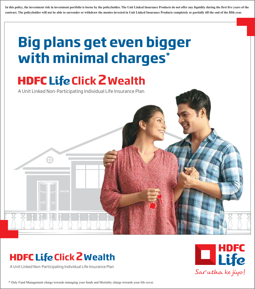**In this policy, the investment risk in investment portfolio is borne by the policyholder. The Unit Linked Insurance Products do not offer any liquidity during the first five years of the contract. The policyholder will not be able to surrender or withdraw the monies invested in Unit Linked Insurance Products completely or partially till the end of the fifth year.**

# **Big plans get even bigger with minimal charges\***

# **HDFC Life Click 2 Wealth**

A Unit Linked Non-Participating Individual Life Insurance Plan

# **HDFC Life Click 2 Wealth**

A Unit Linked Non-Participating Individual Life Insurance Plan



\* Only Fund Management charge towards managing your funds and Mortality charge towards your life cover.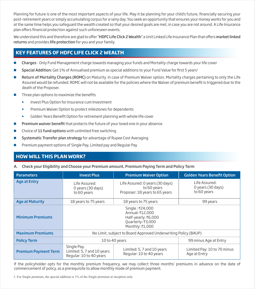Planning for future is one of the most important aspects of your life. May it be planning for your child's future, financially securing your post-retirement years or simply accumulating corpus for a rainy day. You seek an opportunity that ensures your money works for you and at the same time helps you safeguard the wealth created so that your desired goals are met, in case you are not around. A Life Insurance plan offers financial protection against such unforeseen events.

We understand this and therefore are glad to offer "HDFC Life Click 2 Wealth" a Unit Linked Life Insurance Plan that offers market linked returns and provides life protection for you and your family.

### **KEY FEATURES OF HDFC LIFE CLICK 2 WEALTH**

- **Charges** Only Fund Management charge towards managing your funds and Mortality charge towards your life cover
- Special Addition: Get 1% of Annualised premium as special additions to your Fund Value for first 5 years<sup>1</sup>
- Return of Mortality Charges (ROMC) on Maturity. In case of Premium Waiver option, Mortality charges pertaining to only the Life Assured would be refunded. ROMC will not be available for the policies where the Waiver of premium benefit is triggered due to the death of the Proposer.
- Three plan options to maximize the benefits
	- **Invest Plus Option for Insurance cum Investment**
	- **•** Premium Waiver Option to protect milestones for dependents
	- Golden Years Benefit Option for retirement planning with whole life cover
- Premium waiver benefit that protects the future of your loved one in your absence
- Choice of 11 fund options with unlimited free switching
- Systematic Transfer plan strategy for advantage of Rupee Cost Averaging
- Premium payment options of Single Pay, Limited pay and Regular Pay

# **HOW WILL THIS PLAN WORK?**

#### A. Check your Eligibility and Choose your Premium amount, Premium Paying Term and Policy Term

| <b>Parameters</b>           | <b>Invest Plus</b>                                                                                                                    | <b>Golden Years Benefit Option</b>                    |                                                   |  |
|-----------------------------|---------------------------------------------------------------------------------------------------------------------------------------|-------------------------------------------------------|---------------------------------------------------|--|
| <b>Age at Entry</b>         | Life Assured: 0 years (30 days)<br>Life Assured:<br>to 60 years<br>0 years (30 days)<br>Proposer: 18 years to 65 years<br>to 60 years |                                                       | Life Assured:<br>0 years (30 days)<br>to 60 years |  |
| <b>Age at Maturity</b>      | 18 years to 75 years                                                                                                                  | 99 years                                              |                                                   |  |
| <b>Minimum Premiums</b>     | Single: ₹24,000<br>Annual: ₹12,000<br>Half-yearly: ₹6,000<br>Quarterly: ₹3,000<br>Monthly: ₹1,000                                     |                                                       |                                                   |  |
| <b>Maximum Premiums</b>     | No Limit, subject to Board Approved Underwriting Policy (BAUP)                                                                        |                                                       |                                                   |  |
| <b>Policy Term</b>          | 10 to 40 years<br>99 minus Age at Entry                                                                                               |                                                       |                                                   |  |
| <b>Premium Payment Term</b> | Single Pay,<br>Limited: 5, 7 and 10 years<br>Regular: 10 to 40 years                                                                  | Limited: 5, 7 and 10 years<br>Regular: 10 to 40 years | Limited Pay: 10 to 70 minus<br>Age at Entry       |  |

If the policyholder opts for the monthly premium frequency, we may collect three months' premiums in advance on the date of commencement of policy, as a prerequisite to allow monthly mode of premium payment.

1. For Single premium, the special addition is 1% of the Single premium at inception only.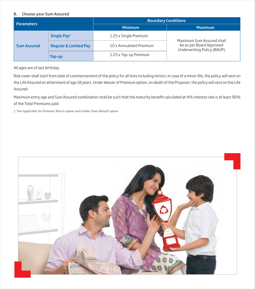#### B. Choose your Sum Assured

| <b>Parameters</b>  |                                  | <b>Boundary Conditions</b> |                                                         |  |  |
|--------------------|----------------------------------|----------------------------|---------------------------------------------------------|--|--|
|                    |                                  | <b>Minimum</b>             | <b>Maximum</b>                                          |  |  |
|                    | Single Pay <sup>2</sup>          | 1.25 x Single Premium      | Maximum Sum Assured shall                               |  |  |
| <b>Sum Assured</b> | <b>Regular &amp; Limited Pay</b> | 10 x Annualized Premium    | be as per Board Approved<br>Underwriting Policy (BAUP). |  |  |
|                    | Top-up                           | 1.25 x Top-up Premium      |                                                         |  |  |

All ages are of last birthday.

Risk cover shall start from date of commencement of the policy for all lives including minors. In case of a minor life, the policy will vest on the Life Assured on attainment of age 18 years. Under Waiver of Premium option, on death of the Proposer, the policy will vest on the Life Assured.

Maximum entry age and Sum Assured combination shall be such that the maturity benefit calculated at 4% interest rate is at least 90% of the Total Premiums paid.

2. Not Applicable for Premium Waiver option and Golden Years Benefit option

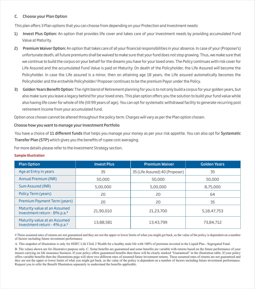#### C. Choose your Plan Option

This plan offers 3 Plan options that you can choose from depending on your Protection and Investment needs:

- 1) Invest Plus Option: An option that provides life cover and takes care of your Investment needs by providing accumulated Fund Value at Maturity.
- 2) Premium Waiver Option: An option that takes care of all your financial responsibilities in your absence. In case of your (Proposer's) unfortunate death, all future premiums shall be waived to make sure that your fund does not stop growing. Thus, we make sure that we continue to build the corpus on your behalf for the dreams you have for your loved ones. The Policy continues with risk cover for Life Assured and the accumulated Fund Value is paid on Maturity. On death of the Policyholder, the Life Assured will become the Policyholder. In case the Life assured is a minor, then on attaining age 18 years, the Life assured automatically becomes the Policyholder and the erstwhile Policyholder/ Proposer continues to be the premium Payor under the Policy.
- 3) Golden Years Benefit Option: The right blend of Retirement planning for you is to not only build a corpus for your golden years, but also make sure you leave a legacy behind for your loved ones. This plan option offers you the solution to build your fund value while also having life cover for whole of life (till 99 years of age). You can opt for systematic withdrawal facility to generate recurring post retirement income from your accumulated fund.

Option once chosen cannot be altered throughout the policy term. Charges will vary as per the Plan option chosen.

#### Choose how you want to manage your Investment Portfolio

You have a choice of 11 different funds that helps you manage your money as per your risk appetite. You can also opt for Systematic Transfer Plan (STP) which gives you the benefits of rupee cost averaging.

For more details please refer to the Investment Strategy section.

#### Sample Illustration

| <b>Plan Option</b>                                                       | <b>Invest Plus</b> | <b>Premium Waiver</b>           | <b>Golden Years</b> |  |
|--------------------------------------------------------------------------|--------------------|---------------------------------|---------------------|--|
| Age at Entry in years                                                    | 35                 | 35 (Life Assured) 40 (Proposer) | 35                  |  |
| <b>Annual Premium (INR)</b>                                              | 50,000             | 50,000                          | 50,000              |  |
| Sum Assured (INR)                                                        | 5,00,000           | 5,00,000                        | 8,75,000            |  |
| Policy Term (years)                                                      | 20                 | 20                              | 64                  |  |
| Premium Payment Term (years)                                             | 20                 | 20                              | 35                  |  |
| Maturity value at an Assumed<br>Investment return - 8% p.a. <sup>#</sup> | 21,90,010          | 21,23,700                       | 5,18,47,753         |  |
| Maturity value at an Assumed<br>Investment return - 4% p.a. <sup>#</sup> | 13,88,581          | 13,43,799                       | 73,84,712           |  |

# These assumed rates of returns are not guaranteed and they are not the upper or lower limits of what you might get back, as the value of the policy is dependent on a number of factors including future investment performance

A. This snapshot of illustration is only for HDFC Life Click 2 Wealth for a healthy male life with 100% of premium invested in the Liquid Plus - Segregated Fund.

B. The values shown are for illustrative purpose only. C. Some benefits are guaranteed and some benefits are variable with returns based on the future performance of your insurer carrying on life insurance business. If your policy offers guaranteed benefits then these will be clearly marked "Guaranteed" in the illustration table. If your policy offers variable benefits then the illustrations page will show two different rates of assumed future investment returns. These assumed rates of returns are not guaranteed and they are not the upper or lower limits of what you might get back, as the value of the policy is dependent on a number of factors including future investment performance. Request you to refer the Benefit Illustration separately to understand the benefits applicable.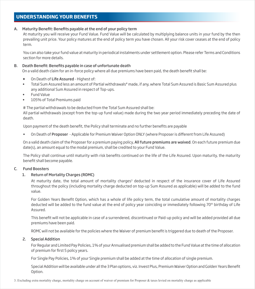# **UNDERSTANDING YOUR BENEFITS**

#### A. Maturity Benefit: Benefits payable at the end of your policy term

At maturity you will receive your Fund Value. Fund Value will be calculated by multiplying balance units in your fund by the then prevailing unit price. Your policy matures at the end of policy term you have chosen. All your risk cover ceases at the end of policy term.

You can also take your fund value at maturity in periodical instalments under settlement option. Please refer Terms and Conditions section for more details.

#### B. Death Benefit: Benefits payable in case of unfortunate death

On a valid death claim for an in-force policy where all due premiums have been paid, the death benefit shall be:

- On Death of Life Assured Highest of:
- Total Sum Assured less an amount of Partial withdrawals# made, if any, where Total Sum Assured is Basic Sum Assured plus any additional Sum Assured in respect of Top-ups.
- Fund Value
- 105% of Total Premiums paid

# The partial withdrawals to be deducted from the Total Sum Assured shall be:

All partial withdrawals (except from the top-up fund value) made during the two year period immediately preceding the date of death.

Upon payment of the death benefit, the Policy shall terminate and no further benefits are payable

On Death of Proposer - Applicable for Premium Waiver Option ONLY (where Proposer is different from Life Assured)

On a valid death claim of the Proposer for a premium paying policy, All future premiums are waived. On each future premium due date(s), an amount equal to the modal premium, shall be credited to your Fund Value.

The Policy shall continue until maturity with risk benefits continued on the life of the Life Assured. Upon maturity, the maturity benefit shall become payable.

#### C. Fund Boosters

#### 1. Return of Mortality Charges (ROMC)

At maturity date, the total amount of mortality charges<sup>3</sup> deducted in respect of the insurance cover of Life Assured throughout the policy (including mortality charge deducted on top-up Sum Assured as applicable) will be added to the fund value.

For Golden Years Benefit Option, which has a whole of life policy term, the total cumulative amount of mortality charges deducted will be added to the fund value at the end of policy year coinciding or immediately following 70<sup>th</sup> birthday of Life Assured.

This benefit will not be applicable in case of a surrendered, discontinued or Paid-up policy and will be added provided all due premiums have been paid.

ROMC will not be available for the policies where the Waiver of premium benefit is triggered due to death of the Proposer.

#### 2. Special Addition

For Regular and Limited Pay Policies, 1% of your Annualised premium shall be added to the Fund Value at the time of allocation of premium for first 5 policy years.

For Single Pay Policies, 1% of your Single premium shall be added at the time of allocation of single premium.

Special Addition will be available under all the 3 Plan options, viz. Invest Plus, Premium Waiver Option and Golden Years Benet Option.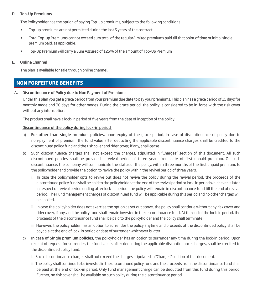#### D. Top-Up Premiums

The Policyholder has the option of paying Top-up premiums, subject to the following conditions:

- Top-up premiums are not permitted during the last 5 years of the contract.
- Total Top-up Premiums cannot exceed sum total of the regular/limited premiums paid till that point of time or initial single premium paid, as applicable.
- Top-Up Premium will carry a Sum Assured of 125% of the amount of Top-Up Premium

#### E. Online Channel

The plan is available for sale through online channel.

### **NON FORFEITURE BENEFITS**

#### A. Discontinuance of Policy due to Non Payment of Premiums

Under this plan you get a grace period from your premium due date to pay your premiums. This plan has a grace period of 15 days for monthly mode and 30 days for other modes. During the grace period, the policy is considered to be in-force with the risk cover without any interruption.

The product shall have a lock-in period of five years from the date of inception of the policy.

#### Discontinuance of the policy during lock-in period

- a) For other than single premium policies, upon expiry of the grace period, in case of discontinuance of policy due to non-payment of premium, the fund value after deducting the applicable discontinuance charges shall be credited to the discontinued policy fund and the risk cover and rider cover, if any, shall cease.
- b) Such discontinuance charges shall not exceed the charges, stipulated in "Charges" section of this document. All such discontinued policies shall be provided a revival period of three years from date of first unpaid premium. On such discontinuance, the company will communicate the status of the policy, within three months of the first unpaid premium, to the policyholder and provide the option to revive the policy within the revival period of three years.
	- i. In case the policyholder opts to revive but does not revive the policy during the revival period, the proceeds of the discontinued policy fund shall be paid to the policyholder at the end of the revival period or lock-in period whichever is later. In respect of revival period ending after lock-in period, the policy will remain in discontinuance fund till the end of revival period. The Fund management charges of discontinued fund will be applicable during this period and no other charges will be applied.
	- ii. In case the policyholder does not exercise the option as set out above, the policy shall continue without any risk cover and rider cover, if any, and the policy fund shall remain invested in the discontinuance fund. At the end of the lock-in period, the proceeds of the discontinuance fund shall be paid to the policyholder and the policy shall terminate.
	- iii. However, the policyholder has an option to surrender the policy anytime and proceeds of the discontinued policy shall be payable at the end of lock-in period or date of surrender whichever is later.
- c) In case of Single premium policies, the policyholder has an option to surrender any time during the lock-in period. Upon receipt of request for surrender, the fund value, after deducting the applicable discontinuance charges, shall be credited to the discontinued policy fund.
	- i. Such discontinuance charges shall not exceed the charges stipulated in "Charges" section of this document.
	- ii. The policy shall continue to be invested in the discontinued policy fund and the proceeds from the discontinuance fund shall be paid at the end of lock-in period. Only fund management charge can be deducted from this fund during this period. Further, no risk cover shall be available on such policy during the discontinuance period.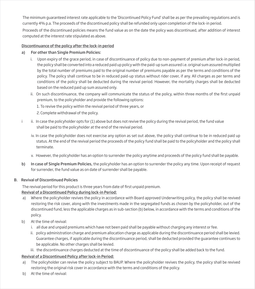The minimum guaranteed interest rate applicable to the 'Discontinued Policy Fund' shall be as per the prevailing regulations and is currently 4% p.a. The proceeds of the discontinued policy shall be refunded only upon completion of the lock-in period.

Proceeds of the discontinued policies means the fund value as on the date the policy was discontinued, after addition of interest computed at the interest rate stipulated as above.

#### Discontinuance of the policy after the lock-in period

- a) For other than Single Premium Policies:
	- i. Upon expiry of the grace period, in case of discontinuance of policy due to non-payment of premium after lock-in period, the policy shall be converted into a reduced paid up policy with the paid-up sum assured i.e. original sum assured multiplied by the total number of premiums paid to the original number of premiums payable as per the terms and conditions of the policy. The policy shall continue to be in reduced paid-up status without rider cover, if any. All charges as per terms and conditions of the policy shall be deducted during the revival period. However, the mortality charges shall be deducted based on the reduced paid up sum assured only.
	- ii. On such discontinuance, the company will communicate the status of the policy, within three months of the first unpaid premium, to the policyholder and provide the following options:
		- 1. To revive the policy within the revival period of three years, or
		- 2. Complete withdrawal of the policy.
- ii. In case the policyholder opts for (1) above but does not revive the policy during the revival period, the fund value shall be paid to the policyholder at the end of the revival period.
	- iv. In case the policyholder does not exercise any option as set out above, the policy shall continue to be in reduced paid up status. At the end of the revival period the proceeds of the policy fund shall be paid to the policyholder and the policy shall terminate.
	- v. However, the policyholder has an option to surrender the policy anytime and proceeds of the policy fund shall be payable.
- b) In case of Single Premium Policies, the policyholder has an option to surrender the policy any time. Upon receipt of request for surrender, the fund value as on date of surrender shall be payable.

#### B. Revival of Discontinued Policies

The revival period for this product is three years from date of first unpaid premium.

#### Revival of a Discontinued Policy during lock-in Period:

- a) Where the policyholder revives the policy in accordance with Board approved Underwriting policy, the policy shall be revived restoring the risk cover, along with the investments made in the segregated funds as chosen by the policyholder, out of the discontinued fund, less the applicable charges as in sub-section (b) below, in accordance with the terms and conditions of the policy.
- b) At the time of revival:
	- i. all due and unpaid premiums which have not been paid shall be payable without charging any interest or fee.
	- ii. policy administration charge and premium allocation charge as applicable during the discontinuance period shall be levied. Guarantee charges, if applicable during the discontinuance period, shall be deducted provided the guarantee continues to be applicable. No other charges shall be levied.
	- iii. the discontinuance charges deducted at the time of discontinuance of the policy shall be added back to the fund.

#### Revival of a Discontinued Policy after lock-in Period:

- a) The policyholder can revive the policy subject to BAUP. Where the policyholder revives the policy, the policy shall be revived restoring the original risk cover in accordance with the terms and conditions of the policy.
- b) At the time of revival: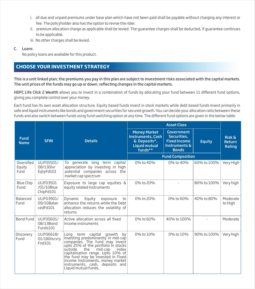- i. all due and unpaid premiums under base plan which have not been paid shall be payable without charging any interest or fee. The policyholder also has the option to revive the rider.
- ii. premium allocation charge as applicable shall be levied. The guarantee charges shall be deducted, if guarantee continues to be applicable.
- iii. No other charges shall be levied.

#### C. Loans

No policy loans are available for this product.

# **CHOOSE YOUR INVESTMENT STRATEGY**

This is a unit linked plan; the premiums you pay in this plan are subject to investment risks associated with the capital markets. The unit prices of the funds may go up or down, reflecting changes in the capital markets.

HDFC Life Click 2 Wealth allows you to invest in a combination of funds by allocating your fund between 11 different fund options, giving you complete control over your money.

Each fund has its own asset allocation structure. Equity based funds invest in stock markets while debt based funds invest primarily in safe and liquid instruments like bonds and government securities for secured growth. You can decide your allocation ratio between these funds and also switch between funds using fund switching option at any time. The different fund options are given in the below table:

| <b>Fund</b><br><b>Name</b>    | <b>SFIN</b>                                 | <b>Details</b>                                                                                                                                                                                                                                                                                                                                               | <b>Money Market</b><br><b>Instruments, Cash</b><br>& Deposits*,<br><b>Liquid mutual</b><br>funds** | <b>Government</b><br>Securities,<br><b>Fixed Income</b><br>Instruments &<br><b>Bonds</b> | <b>Equity</b> | <b>Risk &amp;</b><br><b>Return</b><br>Rating |
|-------------------------------|---------------------------------------------|--------------------------------------------------------------------------------------------------------------------------------------------------------------------------------------------------------------------------------------------------------------------------------------------------------------------------------------------------------------|----------------------------------------------------------------------------------------------------|------------------------------------------------------------------------------------------|---------------|----------------------------------------------|
|                               |                                             |                                                                                                                                                                                                                                                                                                                                                              |                                                                                                    | <b>Fund Composition</b>                                                                  |               |                                              |
| Diversified<br>Equity<br>Fund | ULIF05501/<br>08/13Divr<br>EgtyFd101        | generate long term capital<br>To<br>appreciation by investing in high<br>potential companies across the<br>market cap spectrum                                                                                                                                                                                                                               | 0% to 40%                                                                                          | 0% to 40%                                                                                | 60% to 100%   | Very High                                    |
| Blue Chip<br>Fund             | <b>ULIF03501</b><br>/01/10Blue<br>ChipFd101 | Exposure to large cap equities $\&$<br>equity related instruments                                                                                                                                                                                                                                                                                            | 0% to 20%                                                                                          |                                                                                          | 80% to 100%   | Very high                                    |
| Balanced<br>Fund              | ULIF03901/<br>09/10Balan<br>cedFd101        | Equity<br>Dynamic<br>exposure<br>to<br>enhance the returns while the Debt<br>allocation reduces the volatility of<br>returns                                                                                                                                                                                                                                 | 0% to 20%                                                                                          | 0% to 60%                                                                                | 40% to 80%    | Moderate<br>to High                          |
| <b>Bond Fund</b>              | ULIF05601/<br>08/13Bond<br>Funds101         | Active allocation across all fixed<br>income instruments                                                                                                                                                                                                                                                                                                     | 0% to 60%                                                                                          | 40% to 100%                                                                              |               | Moderate                                     |
| Discovery<br>Fund             | ULIF06618/<br>01/18Discvry<br>Fnd101        | Long term capital growth<br>by<br>investing predominantly in mid-cap<br>companies. The fund may invest<br>upto 25% of the portfolio in stocks<br>outside<br>the<br>mid-cap<br>index<br>capitalisation range. Upto 10% of<br>the fund may be invested in Fixed<br>income instruments, money market<br>instruments, cash, deposits and<br>Liquid mutual funds. | 0% to 10%                                                                                          | 0% to 10%                                                                                | 90% to 100%   | Very high                                    |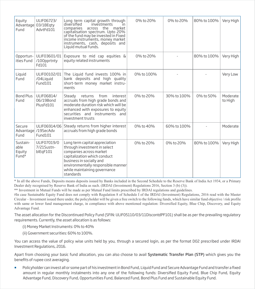| Equity<br>Fund                                  | ULIF06723/<br>Advantage 03/18Eqty<br>AdvtFd101 | Long term capital growth through<br>heitizien<br><i>investments</i><br>ın<br>across the market<br>companies<br>capitalisation spectrum. Upto 20%<br>of the fund may be invested in Fixed<br>income instruments, money market<br>instruments, cash, deposits and<br>Liquid mutual funds. | 0% to 20%  | 0% to 20%   | 80% to 100% | Very High           |
|-------------------------------------------------|------------------------------------------------|-----------------------------------------------------------------------------------------------------------------------------------------------------------------------------------------------------------------------------------------------------------------------------------------|------------|-------------|-------------|---------------------|
| Opportun-<br>ities Fund                         | ULIF03601/01<br>/100pprtnty<br>Fd101           | Exposure to mid cap equities $\&$<br>equity related instruments                                                                                                                                                                                                                         | 0% to 20%  |             | 80% to 100% | Very High           |
| Liquid<br>Fund                                  | ULIF00102/01<br>/04Liquid<br>Fund101           | The Liquid fund invests 100% in<br>bank deposits and high quality<br>short-term money market instru-<br>ments                                                                                                                                                                           | 0% to 100% |             |             | Very Low            |
| Bond Plus<br>Fund                               | ULIF06814/<br>06/19Bond<br>PlusFd101           | Steady<br>returns<br>from<br>interest<br>accruals from high grade bonds and<br>moderate duration risk which will be<br>enhanced with exposures to equity<br>securities and instruments and<br>investment trusts                                                                         | 0% to 20%  | 30% to 100% | 0% to 50%   | Moderate<br>to High |
| Secure<br>Fund                                  | ULIF06914/06<br>Advantage /19SecAdv<br>Fund101 | Steady returns from higher interest<br>accruals from high grade bonds                                                                                                                                                                                                                   | 0% to 40%  | 60% to 100% |             | Moderate            |
| Sustain-<br>able<br>Equity<br>Fund <sup>#</sup> | ULIF07019/0<br>7/21Sustn-<br>blEqF101          | Long term capital appreciation<br>through investment in select<br>companies across market<br>capitalization which conduct<br>business in socially and<br>environmentally responsible manner<br>while maintaining governance<br>standards                                                | 0% to 20%  | 0% to 20%   | 80% to 100% | Very High           |

\* In all the above Funds, Deposits means deposits issued by Banks included in the Second Schedule to the Reserve Bank of India Act 1934, or a Primary Dealer duly recognised by Reserve Bank of India as such. (IRDAI (Investment) Regulations 2016, Section 3 (b) (3)).

\*\* Investment in Mutual Funds will be made as per Mutual Fund limits prescribed by IRDAI regulations and guidelines.

#In case Sustainable Equity Fund does not comply with Regulation 8 of Schedule I of the IRDAI (Investment) Regulations, 2016 read with the Master Circular – Investment issued there under, the policyholder will be given a free switch to the following funds, which have similar fund objective / risk profile with same or lower fund management charge, in compliance with above mentioned regulation: Diversified Equity, Blue Chip, Discovery, and Equity Advantage Fund.

The asset allocation for the Discontinued Policy Fund (SFIN: ULIF05110/03/11DiscontdPF101) shall be as per the prevailing regulatory requirements. Currently, the asset allocation is as follows:

(i) Money Market Instruments: 0% to 40%

(ii) Government securities: 60% to 100%.

You can access the value of policy wise units held by you, through a secured login, as per the format D02 prescribed under IRDAI Investment Regulations, 2016.

Apart from choosing your basic fund allocation, you can also choose to avail Systematic Transfer Plan (STP) which gives you the benefits of rupee cost averaging.

Policyholder can invest all or some part of his investment in Bond Fund, Liquid Fund and Secure Advantage Fund and transfer a fixed amount in regular monthly instalments into any one of the following funds: Diversified Equity Fund, Blue Chip Fund, Equity Advantage Fund, Discovery Fund, Opportunities Fund, Balanced Fund, Bond Plus Fund and Sustainable Equity Fund.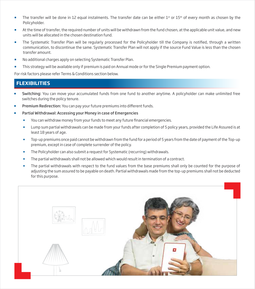- The transfer will be done in 12 equal instalments. The transfer date can be either  $1<sup>st</sup>$  or  $15<sup>th</sup>$  of every month as chosen by the Policyholder.
- At the time of transfer, the required number of units will be withdrawn from the fund chosen, at the applicable unit value, and new units will be allocated in the chosen destination fund.
- The Systematic Transfer Plan will be regularly processed for the Policyholder till the Company is notified, through a written communication, to discontinue the same. Systematic Transfer Plan will not apply if the source Fund Value is less than the chosen transfer amount.
- No additional charges apply on selecting Systematic Transfer Plan.
- This strategy will be available only if premium is paid on Annual mode or for the Single Premium payment option.

For risk factors please refer Terms & Conditions section below.

# **FLEXIBILITIES**

- Switching: You can move your accumulated funds from one fund to another anytime. A policyholder can make unlimited free switches during the policy tenure.
- Premium Redirection: You can pay your future premiums into different funds.
- Partial Withdrawal: Accessing your Money in case of Emergencies
	- You can withdraw money from your funds to meet any future financial emergencies.
	- Lump sum partial withdrawals can be made from your funds after completion of 5 policy years, provided the Life Assured is at least 18 years of age.
	- Top-up premiums once paid cannot be withdrawn from the fund for a period of 5 years from the date of payment of the Top-up premium, except in case of complete surrender of the policy.
	- The Policyholder can also submit a request for Systematic (recurring) withdrawals.
	- The partial withdrawals shall not be allowed which would result in termination of a contract.
	- The partial withdrawals with respect to the fund values from the base premiums shall only be counted for the purpose of adjusting the sum assured to be payable on death. Partial withdrawals made from the top-up premiums shall not be deducted for this purpose.

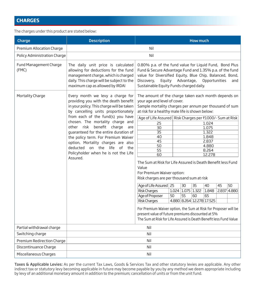# **CHARGES**

The charges under this product are stated below:

| Charge                          | <b>Description</b><br><b>How much</b>                                                                                                                                                                                                                                                                                                                                                                                                                                              |                                                                                                                                                                                                                                                                                                                                                                                                                                                                                                                                                                                                                                                                                                                                                                                                                                                                                                                                                                                                                                        |  |            |  |               |  |     |
|---------------------------------|------------------------------------------------------------------------------------------------------------------------------------------------------------------------------------------------------------------------------------------------------------------------------------------------------------------------------------------------------------------------------------------------------------------------------------------------------------------------------------|----------------------------------------------------------------------------------------------------------------------------------------------------------------------------------------------------------------------------------------------------------------------------------------------------------------------------------------------------------------------------------------------------------------------------------------------------------------------------------------------------------------------------------------------------------------------------------------------------------------------------------------------------------------------------------------------------------------------------------------------------------------------------------------------------------------------------------------------------------------------------------------------------------------------------------------------------------------------------------------------------------------------------------------|--|------------|--|---------------|--|-----|
| Premium Allocation Charge       | Nil                                                                                                                                                                                                                                                                                                                                                                                                                                                                                |                                                                                                                                                                                                                                                                                                                                                                                                                                                                                                                                                                                                                                                                                                                                                                                                                                                                                                                                                                                                                                        |  |            |  |               |  |     |
| Policy Administration Charge    | Nil                                                                                                                                                                                                                                                                                                                                                                                                                                                                                |                                                                                                                                                                                                                                                                                                                                                                                                                                                                                                                                                                                                                                                                                                                                                                                                                                                                                                                                                                                                                                        |  |            |  |               |  |     |
| Fund Management Charge<br>(FMC) | The daily unit price is calculated<br>allowing for deductions for the fund<br>management charge, which is charged<br>daily. This charge will be subject to the<br>maximum cap as allowed by IRDAI                                                                                                                                                                                                                                                                                  | 0.80% p.a. of the fund value for Liquid Fund, Bond Plus<br>Fund & Secure Advantage Fund and 1.35% p.a. of the fund<br>value for Diversified Equity, Blue Chip, Balanced, Bond,<br>Discovery,<br>Equity<br>Sustainable Equity Funds charged daily.                                                                                                                                                                                                                                                                                                                                                                                                                                                                                                                                                                                                                                                                                                                                                                                      |  | Advantage, |  | Opportunities |  | and |
| Mortality Charge                | Every month we levy a charge for<br>providing you with the death benefit<br>in your policy. This charge will be taken<br>by cancelling units proportionately<br>from each of the fund(s) you have<br>chosen. The mortality charge and<br>other risk benefit charge<br>are<br>quaranteed for the entire duration of<br>the policy term. For Premium Waiver<br>option, Mortality charges are also<br>deducted on the life of the<br>Policyholder when he is not the Life<br>Assured. | The amount of the charge taken each month depends on<br>your age and level of cover.<br>Sample mortality charges per annum per thousand of sum<br>at risk for a healthy male life is shown below:<br>Age of Life Assured   Risk Charges per ₹1000/- Sum at Risk<br>25<br>1.024<br>1.075<br>$\overline{30}$<br>$\overline{35}$<br>1.322<br>1.848<br>40<br>45<br>2.837<br>50<br>4.880<br>$\overline{55}$<br>8.264<br>12,278<br>60<br>The Sum at Risk for Life Assured is Death Benefit less Fund<br>Value<br>For Premium Waiver option:<br>Risk charges are per thousand sum at risk<br>$\overline{35}$<br>Age of Life Assured   25<br>30<br>40<br>45<br>50<br><b>Risk Charges</b><br>1.024 1.075 1.322<br>1.848<br>2.837 4.880<br>Age of Proposer<br>$\overline{55}$<br>50<br>60<br>65<br><b>Risk Charges</b><br>4.880 8.264 12.278 17.525<br>For Premium Waiver option, the Sum at Risk for Proposer will be<br>present value of future premiums discounted at 5%<br>The Sum at Risk for Life Assured is Death Benefit less Fund Value |  |            |  |               |  |     |
| Partial withdrawal charge       |                                                                                                                                                                                                                                                                                                                                                                                                                                                                                    | Nil                                                                                                                                                                                                                                                                                                                                                                                                                                                                                                                                                                                                                                                                                                                                                                                                                                                                                                                                                                                                                                    |  |            |  |               |  |     |
| Switching charge                |                                                                                                                                                                                                                                                                                                                                                                                                                                                                                    | Nil                                                                                                                                                                                                                                                                                                                                                                                                                                                                                                                                                                                                                                                                                                                                                                                                                                                                                                                                                                                                                                    |  |            |  |               |  |     |
| Premium Redirection Charge      | Nil                                                                                                                                                                                                                                                                                                                                                                                                                                                                                |                                                                                                                                                                                                                                                                                                                                                                                                                                                                                                                                                                                                                                                                                                                                                                                                                                                                                                                                                                                                                                        |  |            |  |               |  |     |
| Discontinuance Charge           | Nil                                                                                                                                                                                                                                                                                                                                                                                                                                                                                |                                                                                                                                                                                                                                                                                                                                                                                                                                                                                                                                                                                                                                                                                                                                                                                                                                                                                                                                                                                                                                        |  |            |  |               |  |     |
| Miscellaneous Charges           |                                                                                                                                                                                                                                                                                                                                                                                                                                                                                    | Nil                                                                                                                                                                                                                                                                                                                                                                                                                                                                                                                                                                                                                                                                                                                                                                                                                                                                                                                                                                                                                                    |  |            |  |               |  |     |

Taxes & Applicable Levies: As per the current Tax Laws, Goods & Services Tax and other statutory levies are applicable. Any other indirect tax or statutory levy becoming applicable in future may become payable by you by any method we deem appropriate including by levy of an additional monetary amount in addition to the premium; cancellation of units or from the unit fund.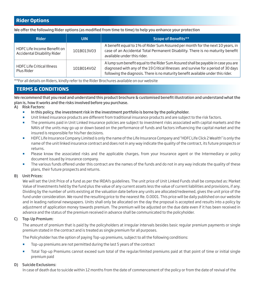# **Rider Options**

We offer the following Rider options (as modified from time to time) to help you enhance your protection

| <b>Rider</b>                                               | <b>UIN</b> | <b>Scope of Benefits**</b>                                                                                                                                                                                                                                     |
|------------------------------------------------------------|------------|----------------------------------------------------------------------------------------------------------------------------------------------------------------------------------------------------------------------------------------------------------------|
| HDFC Life Income Benefit on<br>Accidental Disability Rider | 101B013V03 | A benefit equal to 1% of Rider Sum Assured per month for the next 10 years, in<br>case of an Accidental Total Permanent Disability. There is no maturity benefit<br>available under this rider.                                                                |
| <b>HDFC Life Critical Illness</b><br>Plus Rider            | 101B014V02 | A lump sum benefit equal to the Rider Sum Assured shall be payable in case you are<br>diagnosed with any of the 19 Critical Illnesses and survive for a period of 30 days<br>following the diagnosis. There is no maturity benefit available under this rider. |

\*\*For all details on Riders, kindly refer to the Rider Brochures available on our website

# **TERMS & CONDITIONS**

We recommend that you read and understand this product brochure & customised benefit illustration and understand what the plan is, how it works and the risks involved before you purchase.

A) Risk Factors:

- In this policy, the investment risk in the investment portfolio is borne by the policyholder.
- Init linked insurance products are different from traditional insurance products and are subject to the risk factors.
- **The premiums paid in Unit Linked Insurance policies are subject to investment risks associated with capital markets and the** NAVs of the units may go up or down based on the performance of funds and factors influencing the capital market and the insured is responsible for his/her decisions.
- **H** HDFC Life Insurance Company Limited is only the name of the Life Insurance Company and "HDFC Life Click 2 Wealth" is only the name of the unit linked insurance contract and does not in any way indicate the quality of the contract, its future prospects or returns.
- **Please know the associated risks and the applicable charges, from your Insurance agent or the Intermediary or policy** document issued by insurance company.
- The various funds offered under this contract are the names of the funds and do not in any way indicate the quality of these plans, their future prospects and returns.

#### B) Unit Prices:

We will set the Unit Price of a fund as per the IRDAI's guidelines. The unit price of Unit Linked Funds shall be computed as: Market Value of Investments held by the fund plus the value of any current assets less the value of current liabilities and provisions, if any. Dividing by the number of units existing at the valuation date before any units are allocated/redeemed, gives the unit price of the fund under consideration. We round the resulting price to the nearest Re. 0.0001. This price will be daily published on our website and in leading national newspapers. Units shall only be allocated on the day the proposal is accepted and results into a policy by adjustment of application money towards premium. The premium will be adjusted on the due date even if it has been received in advance and the status of the premium received in advance shall be communicated to the policyholder.

#### C) Top-Up Premium:

The amount of premium that is paid by the policyholders at irregular intervals besides basic regular premium payments or single premium stated in the contract and is treated as single premium for all purposes.

The Policyholder has the option of paying Top-up premiums, subject to all the following conditions:

- Top-up premiums are not permitted during the last 5 years of the contract
- Total Top-up Premiums cannot exceed sum total of the regular/limited premiums paid at that point of time or initial single premium paid

#### D) Suicide Exclusions:

In case of death due to suicide within 12 months from the date of commencement of the policy or from the date of revival of the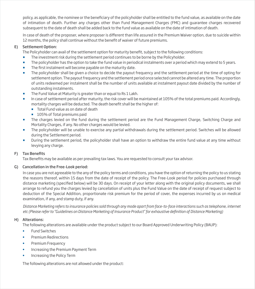policy, as applicable, the nominee or the beneficiary of the policyholder shall be entitled to the fund value, as available on the date of intimation of death. Further any charges other than Fund Management Charges (FMC) and guarantee charges recovered subsequent to the date of death shall be added back to the fund value as available on the date of intimation of death.

In case of death of the proposer, where proposer is different than life assured in the Premium Waiver option, due to suicide within 12 months, the policy shall continue without the benefit of waiver of future premiums.

#### E) Settlement Option:

The Policyholder can avail of the settlement option for maturity benefit, subject to the following conditions:

- **The investment risk during the settlement period continues to be borne by the Policyholder.**
- The policyholder has the option to take the fund value in periodical instalments over a period which may extend to 5 years.
- The first instalment will become payable on the maturity date.
- The policyholder shall be given a choice to decide the payout frequency and the settlement period at the time of opting for settlement option. The payout frequency and the settlement period once selected cannot be altered any time. The proportion of units redeemed per instalment shall be the number of units available at instalment payout date divided by the number of outstanding instalments.
- The Fund Value at Maturity is greater than or equal to Rs 1 Lakh.
- In case of settlement period after maturity, the risk cover will be maintained at 105% of the total premiums paid. Accordingly, mortality charges will be deducted. The death benefit shall be the higher of:
	- **Total Fund value as on date of death**
	- 105% of Total premiums paid
- The charges levied on the fund during the settlement period are the Fund Management Charge, Switching Charge and Mortality Charges, if any. No other charges would be levied.
- The policyholder will be unable to exercise any partial withdrawals during the settlement period. Switches will be allowed during the Settlement period.
- **During the settlement period, the policyholder shall have an option to withdraw the entire fund value at any time without** levying any charge.

#### F) Tax Benefits

Tax Benefits may be available as per prevailing tax laws. You are requested to consult your tax advisor.

#### G) Cancellation in the Free-Look period:

In case you are not agreeable to the any of the policy terms and conditions, you have the option of returning the policy to us stating the reasons thereof, within 15 days from the date of receipt of the policy. The Free-Look period for policies purchased through distance marketing (specified below) will be 30 days. On receipt of your letter along with the original policy documents, we shall arrange to refund you the charges levied by cancellation of units plus the Fund Value on the date of receipt of request subject to deduction of the Special Addition, proportionate risk premium for the period of cover, the expenses incurred by us on medical examination, if any, and stamp duty, if any.

*Distance Marketing refers to insurance policies sold through any mode apart from face-to-face interactions such as telephone, internet*  etc (Please refer to "Guidelines on Distance Marketing of Insurance Product" for exhaustive definition of Distance Marketing)

#### H) Alterations:

The following alterations are available under the product subject to our Board Approved Underwriting Policy (BAUP):

- Fund Switches
- Premium Redirections
- Premium Frequency
- Increasing the Premium Payment Term
- Increasing the Policy Term

The following alterations are not allowed under the product: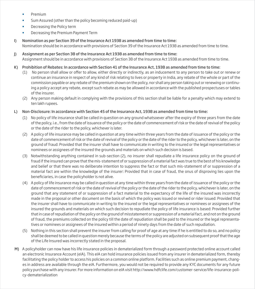- Premium
- Sum Assured (other than the policy becoming reduced paid-up)
- Decreasing the Policy term
- Decreasing the Premium Payment Term
- I) Nomination as per Section 39 of the Insurance Act 1938 as amended from time to time: Nomination should be in accordance with provisions of Section 39 of the Insurance Act 1938 as amended from time to time.
- J) Assignment as per Section 38 of the Insurance Act 1938 as amended from time to time: Assignment should be in accordance with provisions of Section 38 of the Insurance Act 1938 as amended from time to time.
- K) Prohibition of Rebates: In accordance with Section 41 of the Insurance Act, 1938 as amended from time to time:
	- (1) No person shall allow or offer to allow, either directly or indirectly, as an inducement to any person to take out or renew or continue an insurance in respect of any kind of risk relating to lives or property in India, any rebate of the whole or part of the commission payable or any rebate of the premium shown on the policy, nor shall any person taking out or renewing or continuing a policy accept any rebate, except such rebate as may be allowed in accordance with the published prospectuses or tables of the insurer.
	- (2) Any person making default in complying with the provisions of this section shall be liable for a penalty which may extend to ten lakh rupees.
- L) Non-Disclosure: In accordance with Section 45 of the Insurance Act, 1938 as amended from time to time:
	- (1) No policy of life insurance shall be called in question on any ground whatsoever after the expiry of three years from the date of the policy, i.e., from the date of issuance of the policy or the date of commencement of risk or the date of revival of the policy or the date of the rider to the policy, whichever is later.
	- (2) A policy of life insurance may be called in question at any time within three years from the date of issuance of the policy or the date of commencement of risk or the date of revival of the policy or the date of the rider to the policy, whichever is later, on the ground of fraud: Provided that the insurer shall have to communicate in writing to the insured or the legal representatives or nominees or assignees of the insured the grounds and materials on which such decision is based.
	- (3) Notwithstanding anything contained in sub-section (2), no insurer shall repudiate a life insurance policy on the ground of fraud if the insured can prove that the mis-statement of or suppression of a material fact was true to the best of his knowledge and belief or that there was no deliberate intention to suppress the fact or that such mis-statement of or suppression of a material fact are within the knowledge of the insurer: Provided that in case of fraud, the onus of disproving lies upon the beneficiaries, in case the policyholder is not alive.
	- (4) A policy of life insurance may be called in question at any time within three years from the date of issuance of the policy or the date of commencement of risk or the date of revival of the policy or the date of the rider to the policy, whichever is later, on the ground that any statement of or suppression of a fact material to the expectancy of the life of the insured was incorrectly made in the proposal or other document on the basis of which the policy was issued or revived or rider issued: Provided that the insurer shall have to communicate in writing to the insured or the legal representatives or nominees or assignees of the insured the grounds and materials on which such decision to repudiate the policy of life insurance is based: Provided further that in case of repudiation of the policy on the ground of misstatement or suppression of a material fact, and not on the ground of fraud, the premiums collected on the policy till the date of repudiation shall be paid to the insured or the legal representatives or nominees or assignees of the insured within a period of ninety days from the date of such repudiation.
	- (5) Nothing in this section shall prevent the insurer from calling for proof of age at any time if he is entitled to do so, and no policy shall be deemed to be called in question merely because the terms of the policy are adjusted on subsequent proof that the age of the Life Insured was incorrectly stated in the proposal.
- M) A policyholder can now have his life insurance policies in dematerialized form through a password protected online account called an electronic Insurance Account (eIA). This eIA can hold insurance policies issued from any insurer in dematerialized form, thereby facilitating the policy holder to access his policies on a common online platform. Facilities such as online premium payment, changes in address are available through the eIA. Furthermore, you would not be required to provide any KYC documents for any future policy purchase with any insurer. For more information on eIA visit http://www.hdfclife.com/customer-service/life-insurance-policy-dematerialization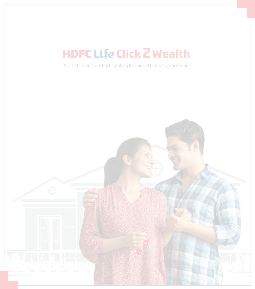# **HDFC Life Click 2 Wealth**

A Unit Linked Non-Participating Individual Life Insurance Plan